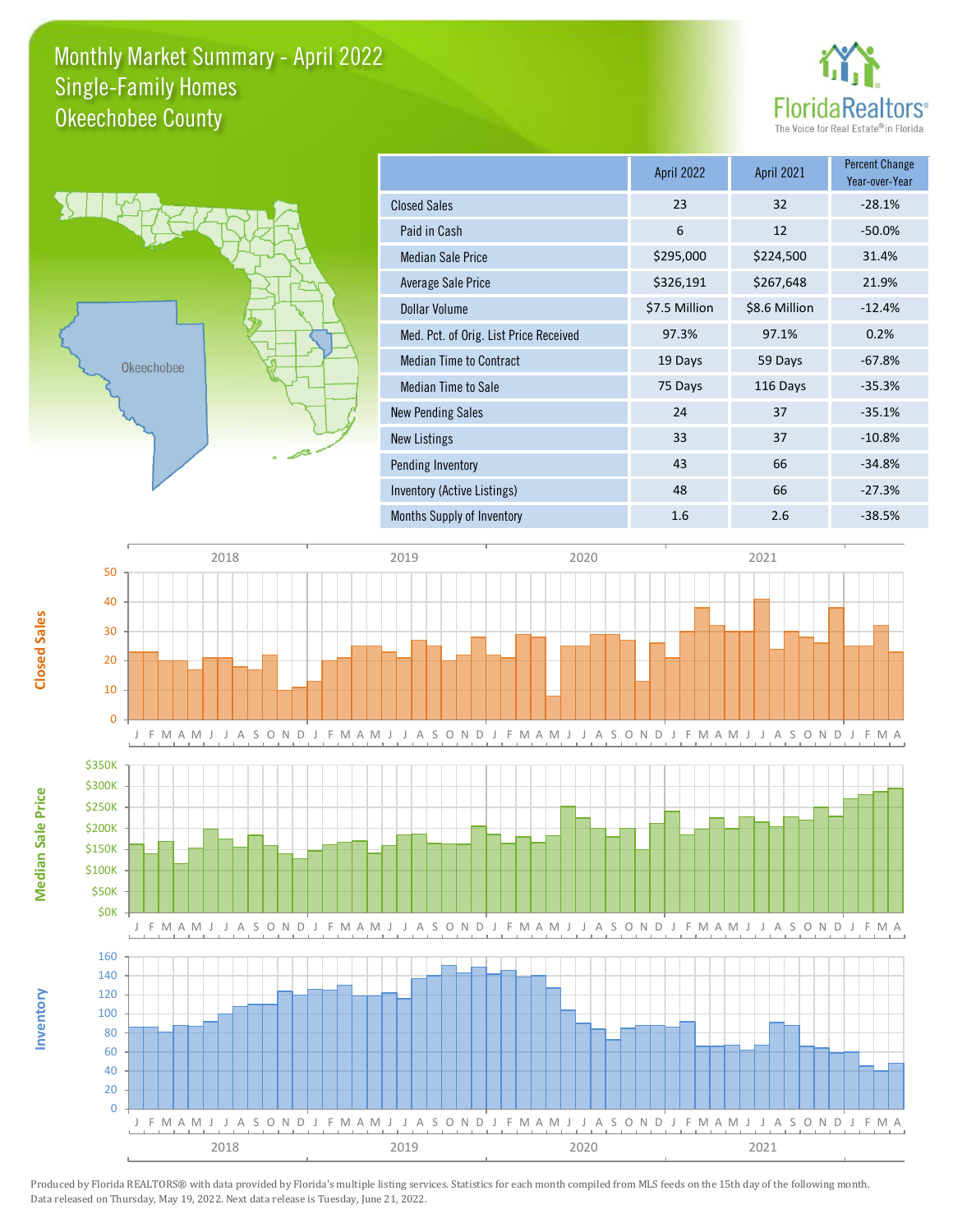## Monthly Market Summary - April 2022 Okeechobee County Single-Family Homes





|                                        | <b>April 2022</b> | <b>April 2021</b> | <b>Percent Change</b><br>Year-over-Year |
|----------------------------------------|-------------------|-------------------|-----------------------------------------|
| <b>Closed Sales</b>                    | 23                | 32                | $-28.1%$                                |
| Paid in Cash                           | 6                 | 12                | $-50.0%$                                |
| <b>Median Sale Price</b>               | \$295,000         | \$224,500         | 31.4%                                   |
| <b>Average Sale Price</b>              | \$326,191         | \$267,648         | 21.9%                                   |
| <b>Dollar Volume</b>                   | \$7.5 Million     | \$8.6 Million     | $-12.4%$                                |
| Med. Pct. of Orig. List Price Received | 97.3%             | 97.1%             | 0.2%                                    |
| <b>Median Time to Contract</b>         | 19 Days           | 59 Days           | $-67.8%$                                |
| Median Time to Sale                    | 75 Days           | 116 Days          | $-35.3%$                                |
| <b>New Pending Sales</b>               | 24                | 37                | $-35.1%$                                |
| <b>New Listings</b>                    | 33                | 37                | $-10.8%$                                |
| Pending Inventory                      | 43                | 66                | $-34.8%$                                |
| Inventory (Active Listings)            | 48                | 66                | $-27.3%$                                |
| Months Supply of Inventory             | 1.6               | 2.6               | $-38.5%$                                |



Produced by Florida REALTORS® with data provided by Florida's multiple listing services. Statistics for each month compiled from MLS feeds on the 15th day of the following month. Data released on Thursday, May 19, 2022. Next data release is Tuesday, June 21, 2022.

**Inventory**

**Median Sale Price**

**Median Sale Price**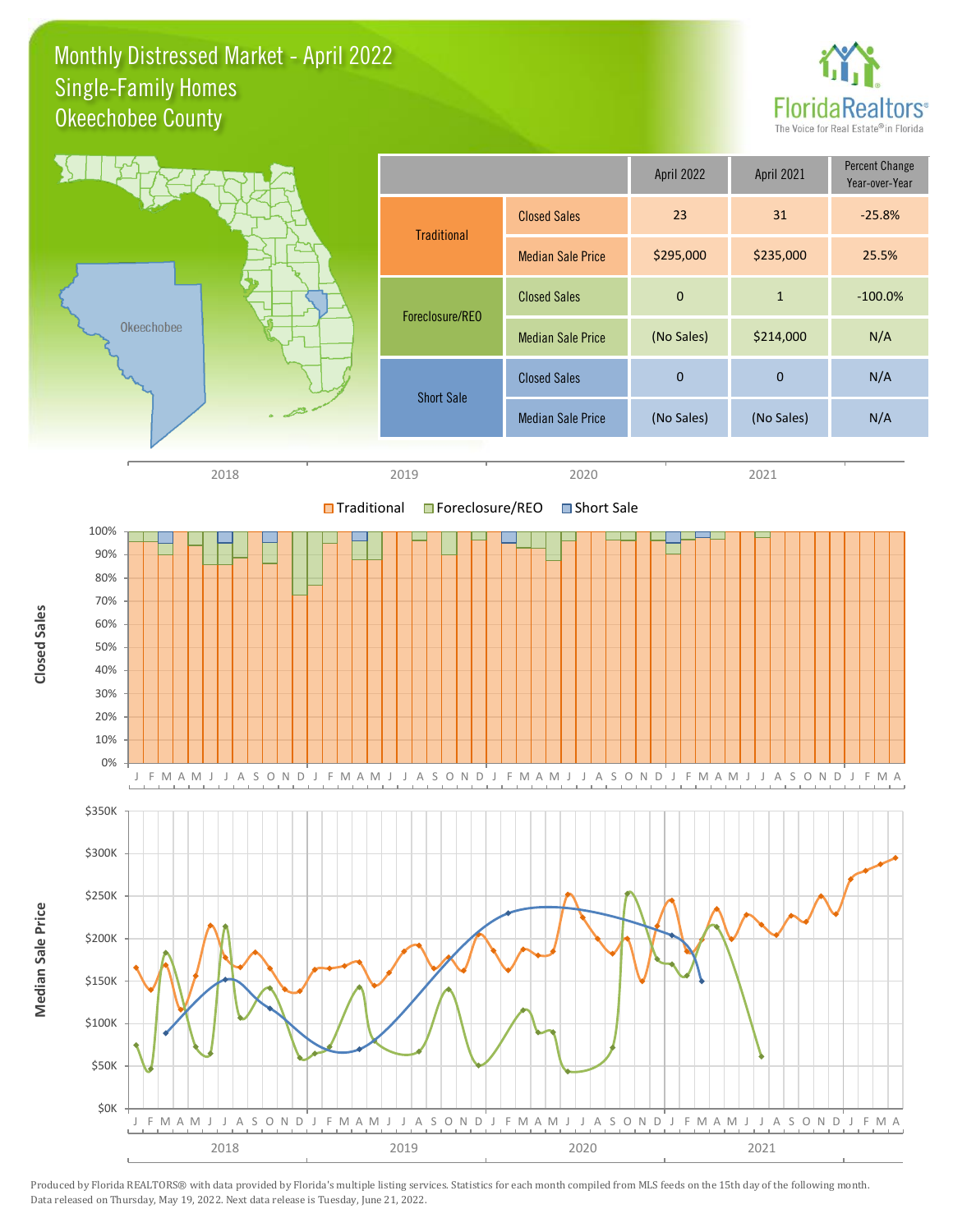## Monthly Distressed Market - April 2022 Okeechobee County Single-Family Homes





Produced by Florida REALTORS® with data provided by Florida's multiple listing services. Statistics for each month compiled from MLS feeds on the 15th day of the following month. Data released on Thursday, May 19, 2022. Next data release is Tuesday, June 21, 2022.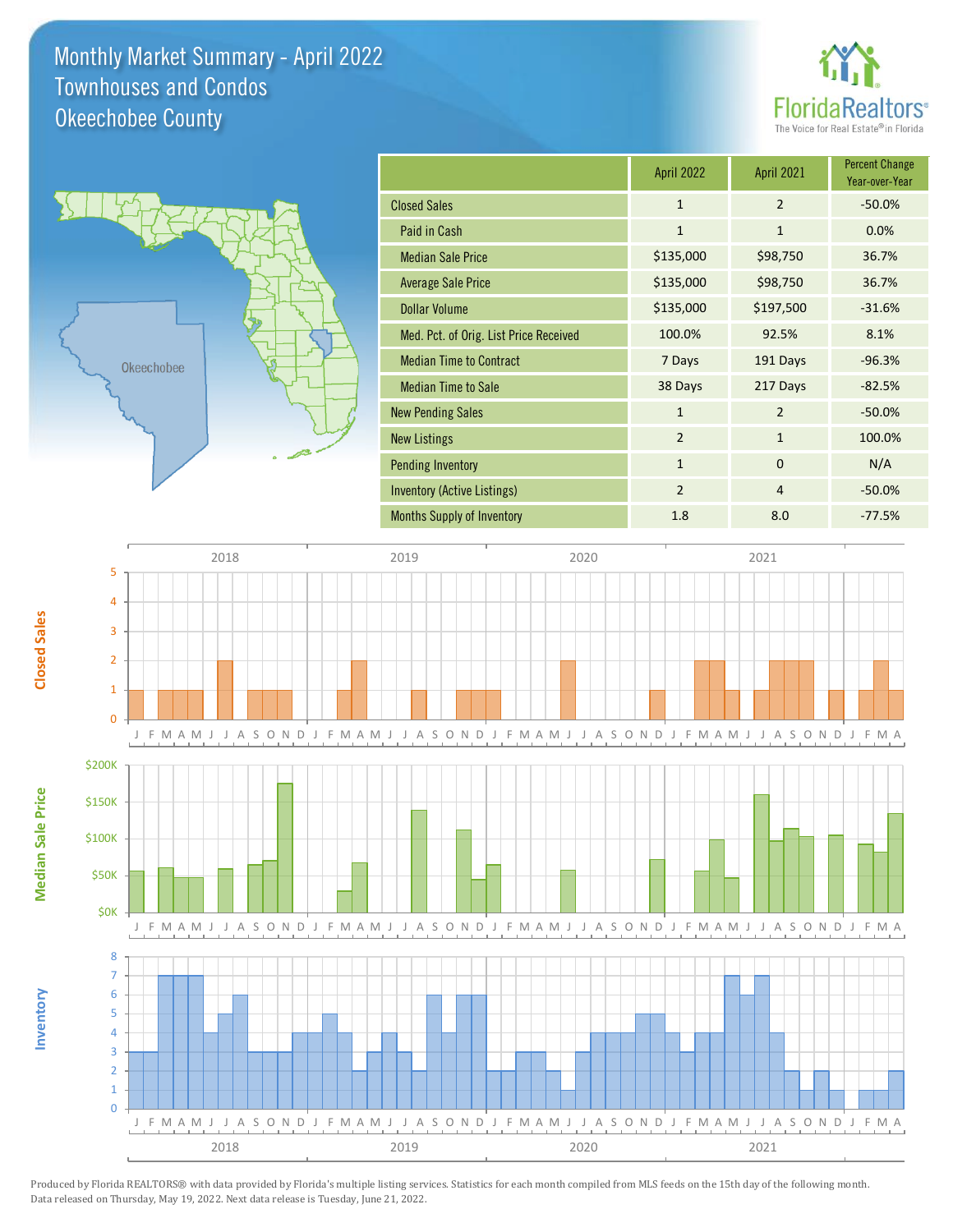## Monthly Market Summary - April 2022 Okeechobee County Townhouses and Condos





**Inventory**

**Median Sale Price**

**Median Sale Price** 

**Closed Sales**

|                                        | <b>April 2022</b> | <b>April 2021</b> | <b>Percent Change</b><br>Year-over-Year |
|----------------------------------------|-------------------|-------------------|-----------------------------------------|
| <b>Closed Sales</b>                    | $\mathbf{1}$      | $\overline{2}$    | $-50.0%$                                |
| Paid in Cash                           | $\mathbf{1}$      | $\mathbf{1}$      | 0.0%                                    |
| <b>Median Sale Price</b>               | \$135,000         | \$98,750          | 36.7%                                   |
| <b>Average Sale Price</b>              | \$135,000         | \$98,750          | 36.7%                                   |
| <b>Dollar Volume</b>                   | \$135,000         | \$197,500         | $-31.6%$                                |
| Med. Pct. of Orig. List Price Received | 100.0%            | 92.5%             | 8.1%                                    |
| <b>Median Time to Contract</b>         | 7 Days            | 191 Days          | $-96.3%$                                |
| <b>Median Time to Sale</b>             | 38 Days           | 217 Days          | $-82.5%$                                |
| <b>New Pending Sales</b>               | $\mathbf{1}$      | $\overline{2}$    | $-50.0%$                                |
| <b>New Listings</b>                    | $\overline{2}$    | $\mathbf{1}$      | 100.0%                                  |
| <b>Pending Inventory</b>               | $\mathbf{1}$      | $\mathbf 0$       | N/A                                     |
| Inventory (Active Listings)            | $\overline{2}$    | $\overline{4}$    | $-50.0%$                                |
| <b>Months Supply of Inventory</b>      | 1.8               | 8.0               | $-77.5%$                                |



Produced by Florida REALTORS® with data provided by Florida's multiple listing services. Statistics for each month compiled from MLS feeds on the 15th day of the following month. Data released on Thursday, May 19, 2022. Next data release is Tuesday, June 21, 2022.